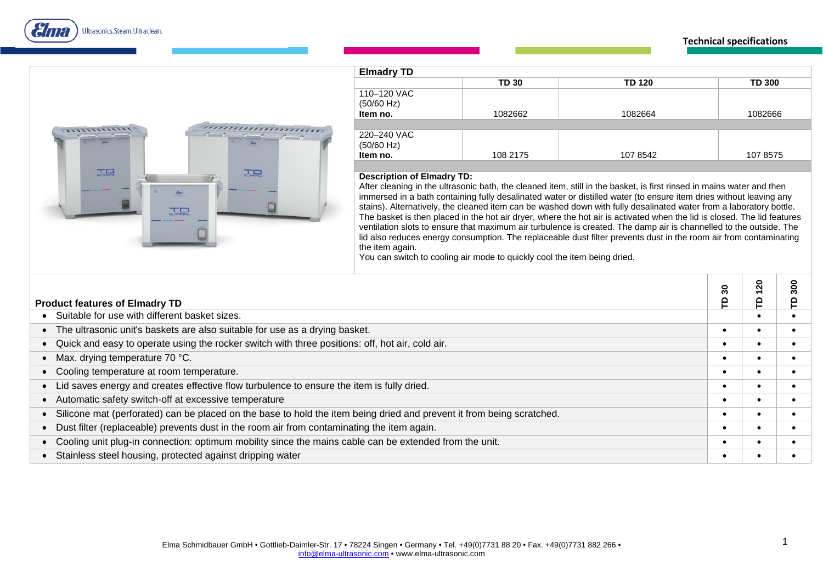ama Ultrasonics.Steam.Ultraclean.

## **Technical specifications**



| <b>Elmadry TD</b>                     |              |               |               |
|---------------------------------------|--------------|---------------|---------------|
|                                       | <b>TD 30</b> | <b>TD 120</b> | <b>TD 300</b> |
| 110-120 VAC<br>(50/60 Hz)<br>Item no. | 1082662      | 1082664       | 1082666       |
|                                       |              |               |               |
| 220-240 VAC<br>(50/60 Hz)<br>Item no. | 108 2175     | 107 8542      | 107 8575      |

## **Description of Elmadry TD:**

After cleaning in the ultrasonic bath, the cleaned item, still in the basket, is first rinsed in mains water and then immersed in a bath containing fully desalinated water or distilled water (to ensure item dries without leaving any stains). Alternatively, the cleaned item can be washed down with fully desalinated water from a laboratory bottle. The basket is then placed in the hot air dryer, where the hot air is activated when the lid is closed. The lid features ventilation slots to ensure that maximum air turbulence is created. The damp air is channelled to the outside. The lid also reduces energy consumption. The replaceable dust filter prevents dust in the room air from contaminating the item again.

You can switch to cooling air mode to quickly cool the item being dried.

|                                                                                                                       | ౚ        | ន | 8 |
|-----------------------------------------------------------------------------------------------------------------------|----------|---|---|
| <b>Product features of Elmadry TD</b>                                                                                 | <b>e</b> |   |   |
| Suitable for use with different basket sizes.                                                                         |          |   |   |
| • The ultrasonic unit's baskets are also suitable for use as a drying basket.                                         |          |   |   |
| Quick and easy to operate using the rocker switch with three positions: off, hot air, cold air.<br>$\bullet$          |          |   |   |
| Max. drying temperature 70 °C.                                                                                        |          |   |   |
| Cooling temperature at room temperature.                                                                              |          |   |   |
| Lid saves energy and creates effective flow turbulence to ensure the item is fully dried.                             |          |   |   |
| • Automatic safety switch-off at excessive temperature                                                                |          |   |   |
| Silicone mat (perforated) can be placed on the base to hold the item being dried and prevent it from being scratched. | ٠        |   |   |
| Dust filter (replaceable) prevents dust in the room air from contaminating the item again.                            |          |   |   |
| Cooling unit plug-in connection: optimum mobility since the mains cable can be extended from the unit.                |          |   |   |
| Stainless steel housing, protected against dripping water                                                             |          |   |   |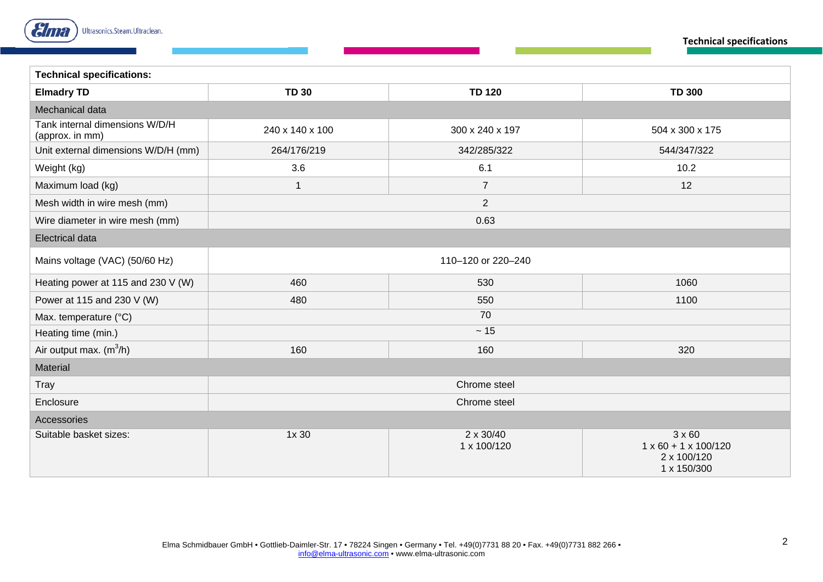

**Technical specifications**

| <b>Technical specifications:</b>                  |                 |                                 |                                                                                 |  |  |  |
|---------------------------------------------------|-----------------|---------------------------------|---------------------------------------------------------------------------------|--|--|--|
| <b>Elmadry TD</b>                                 | <b>TD 30</b>    | <b>TD 120</b>                   | <b>TD 300</b>                                                                   |  |  |  |
| Mechanical data                                   |                 |                                 |                                                                                 |  |  |  |
| Tank internal dimensions W/D/H<br>(approx. in mm) | 240 x 140 x 100 | 300 x 240 x 197                 | 504 x 300 x 175                                                                 |  |  |  |
| Unit external dimensions W/D/H (mm)               | 264/176/219     | 342/285/322                     |                                                                                 |  |  |  |
| Weight (kg)                                       | 3.6             | 6.1                             | 10.2                                                                            |  |  |  |
| Maximum load (kg)                                 | $\mathbf{1}$    | $\overline{7}$                  | 12                                                                              |  |  |  |
| Mesh width in wire mesh (mm)                      | $\overline{2}$  |                                 |                                                                                 |  |  |  |
| Wire diameter in wire mesh (mm)                   |                 | 0.63                            |                                                                                 |  |  |  |
| <b>Electrical data</b>                            |                 |                                 |                                                                                 |  |  |  |
| Mains voltage (VAC) (50/60 Hz)                    |                 | 110-120 or 220-240              |                                                                                 |  |  |  |
| Heating power at 115 and 230 V (W)                | 460             | 530                             | 1060                                                                            |  |  |  |
| Power at 115 and 230 V (W)                        | 480             | 550                             | 1100                                                                            |  |  |  |
| Max. temperature (°C)                             | 70              |                                 |                                                                                 |  |  |  |
| Heating time (min.)                               |                 | $\sim 15$                       |                                                                                 |  |  |  |
| Air output max. $(m^3/h)$                         | 160             | 160                             | 320                                                                             |  |  |  |
| Material                                          |                 |                                 |                                                                                 |  |  |  |
| Tray                                              | Chrome steel    |                                 |                                                                                 |  |  |  |
| Enclosure                                         | Chrome steel    |                                 |                                                                                 |  |  |  |
| Accessories                                       |                 |                                 |                                                                                 |  |  |  |
| Suitable basket sizes:                            | 1x 30           | $2 \times 30/40$<br>1 x 100/120 | $3 \times 60$<br>$1 \times 60 + 1 \times 100/120$<br>2 x 100/120<br>1 x 150/300 |  |  |  |